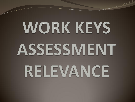# **WORK KEYS** ASSESSMENT RELEVANCE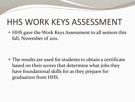#### HHS WORK KEYS ASSESSMENT

• HHS gave the Work Keys Assessment to all seniors this fall, November of 2011.

 The results are used for students to obtain a certificate based on their scores that determine what jobs they have foundational skills for as they prepare for graduation from HHS.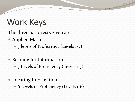### Work Keys

The three basic tests given are:

- Applied Math
	- 7 levels of Proficiency (Levels 1-7)
- Reading for Information
	- 7 Levels of Proficiency (Levels 1-7)
- Locating Information
	- 6 Levels of Proficiency (Levels 1-6)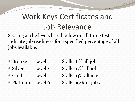#### Work Keys Certificates and Job Relevance

Scoring at the levels listed below on all three tests indicate job readiness for a specified percentage of all jobs available.

- Bronze Level 3 Skills 16% all jobs
- Silver Level 4 Skills 67% all jobs
- Gold Level 5 Skills  $93\%$  all jobs
- Platinum Level 6 Skills 99% all jobs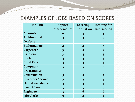#### EXAMPLES OF JOBS BASED ON SCORES

| <b>Job Title</b>         | <b>Applied</b>                      | Locating                 | <b>Reading for</b>       |
|--------------------------|-------------------------------------|--------------------------|--------------------------|
|                          | Mathematics Information Information |                          |                          |
| <b>Accountant</b>        | 6                                   | 5                        | 5                        |
| Architectural            | $\overline{\mathbf{4}}$             | $\overline{4}$           | 5                        |
| <b>Drafters</b>          |                                     |                          |                          |
| <b>Boilermakers</b>      | $\overline{\mathbf{4}}$             | $\overline{4}$           | $\overline{\mathbf{3}}$  |
| Carpenter                | $\overline{\mathbf{3}}$             | $\overline{\mathcal{A}}$ | $\overline{4}$           |
| <b>Cashiers</b>          | $\overline{\mathbf{3}}$             | $\overline{\mathcal{A}}$ | $\overline{\mathbf{3}}$  |
| <b>Chefs</b>             | $\overline{4}$                      | $\overline{\mathcal{A}}$ | $\overline{4}$           |
| <b>Child Care</b>        | $\overline{\mathbf{3}}$             | $\overline{4}$           | $\overline{\mathbf{4}}$  |
| Computer                 | 5                                   | 5                        | 5                        |
| Programmer               |                                     |                          |                          |
| Construction             | 5                                   | $\overline{4}$           | 5                        |
| <b>Customer Service</b>  | 5                                   | 5                        | $\overline{\mathcal{A}}$ |
| <b>Dental Assistance</b> | $\boldsymbol{4}$                    | $\overline{\mathcal{A}}$ | $\overline{4}$           |
| <b>Electricians</b>      | 5                                   | 5                        | 5                        |
| <b>Engineers</b>         | 5                                   | 6                        | 6                        |
| <b>File Clerks</b>       | 3                                   | $\overline{\mathcal{A}}$ | $\overline{\mathcal{A}}$ |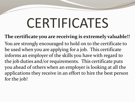## CERTIFICATES

**The certificate you are receiving is extremely valuable!!**  You are strongly encouraged to hold on to the certificate to be used when you are applying for a job. This certificate informs an employer of the skills you have with regard to the job duties and/or requirements. This certificate puts you ahead of others when an employer is looking at all the applications they receive in an effort to hire the best person for the job!